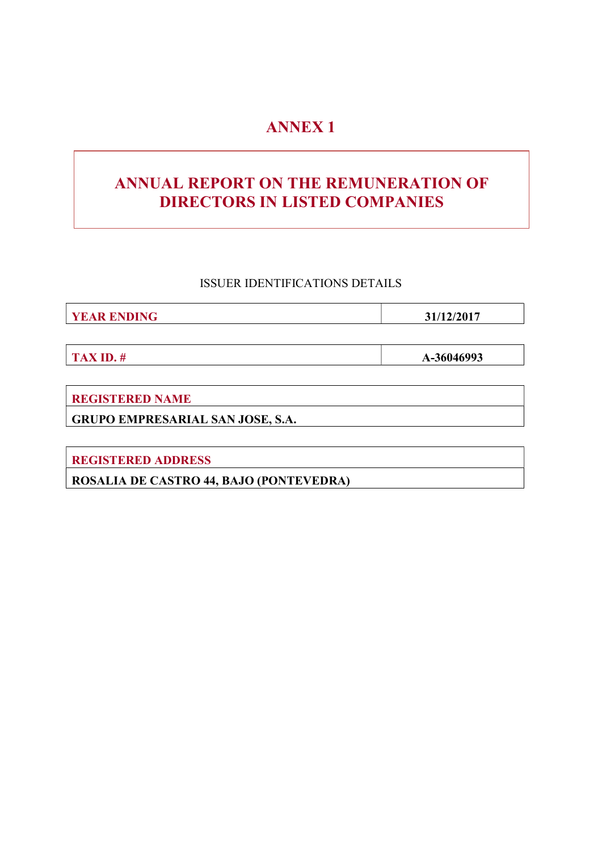# ANNEX 1

# ANNUAL REPORT ON THE REMUNERATION OF DIRECTORS IN LISTED COMPANIES

# ISSUER IDENTIFICATIONS DETAILS

**YEAR ENDING 31/12/2017** 

TAX ID.  $\#$  A-36046993

REGISTERED NAME

GRUPO EMPRESARIAL SAN JOSE, S.A.

REGISTERED ADDRESS

ROSALIA DE CASTRO 44, BAJO (PONTEVEDRA)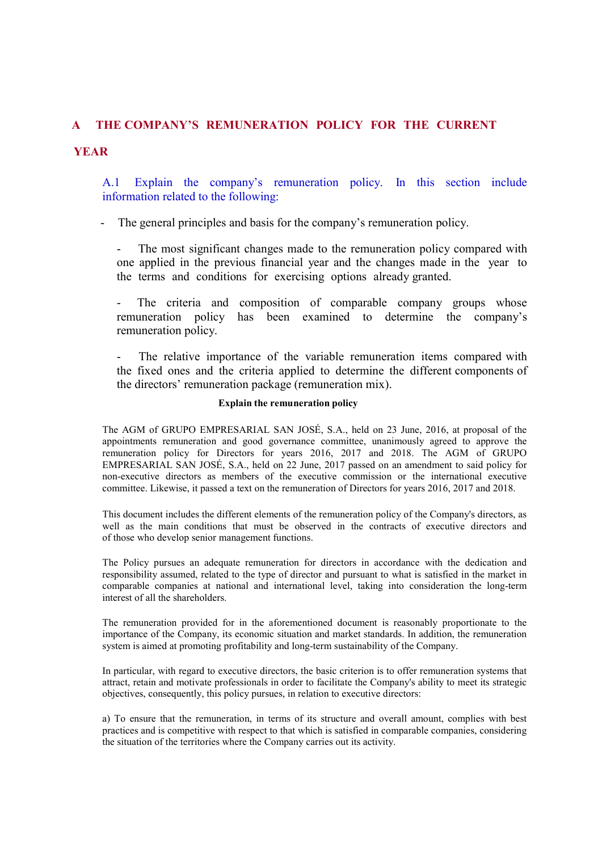## A THE COMPANY'S REMUNERATION POLICY FOR THE CURRENT

# **YEAR**

A.1 Explain the company's remuneration policy. In this section include information related to the following:

- The general principles and basis for the company's remuneration policy.

The most significant changes made to the remuneration policy compared with one applied in the previous financial year and the changes made in the year to the terms and conditions for exercising options already granted.

- The criteria and composition of comparable company groups whose remuneration policy has been examined to determine the company's remuneration policy.

The relative importance of the variable remuneration items compared with the fixed ones and the criteria applied to determine the different components of the directors' remuneration package (remuneration mix).

### Explain the remuneration policy

The AGM of GRUPO EMPRESARIAL SAN JOSÉ, S.A., held on 23 June, 2016, at proposal of the appointments remuneration and good governance committee, unanimously agreed to approve the remuneration policy for Directors for years 2016, 2017 and 2018. The AGM of GRUPO EMPRESARIAL SAN JOSÉ, S.A., held on 22 June, 2017 passed on an amendment to said policy for non-executive directors as members of the executive commission or the international executive committee. Likewise, it passed a text on the remuneration of Directors for years 2016, 2017 and 2018.

This document includes the different elements of the remuneration policy of the Company's directors, as well as the main conditions that must be observed in the contracts of executive directors and of those who develop senior management functions.

The Policy pursues an adequate remuneration for directors in accordance with the dedication and responsibility assumed, related to the type of director and pursuant to what is satisfied in the market in comparable companies at national and international level, taking into consideration the long-term interest of all the shareholders.

The remuneration provided for in the aforementioned document is reasonably proportionate to the importance of the Company, its economic situation and market standards. In addition, the remuneration system is aimed at promoting profitability and long-term sustainability of the Company.

In particular, with regard to executive directors, the basic criterion is to offer remuneration systems that attract, retain and motivate professionals in order to facilitate the Company's ability to meet its strategic objectives, consequently, this policy pursues, in relation to executive directors:

a) To ensure that the remuneration, in terms of its structure and overall amount, complies with best practices and is competitive with respect to that which is satisfied in comparable companies, considering the situation of the territories where the Company carries out its activity.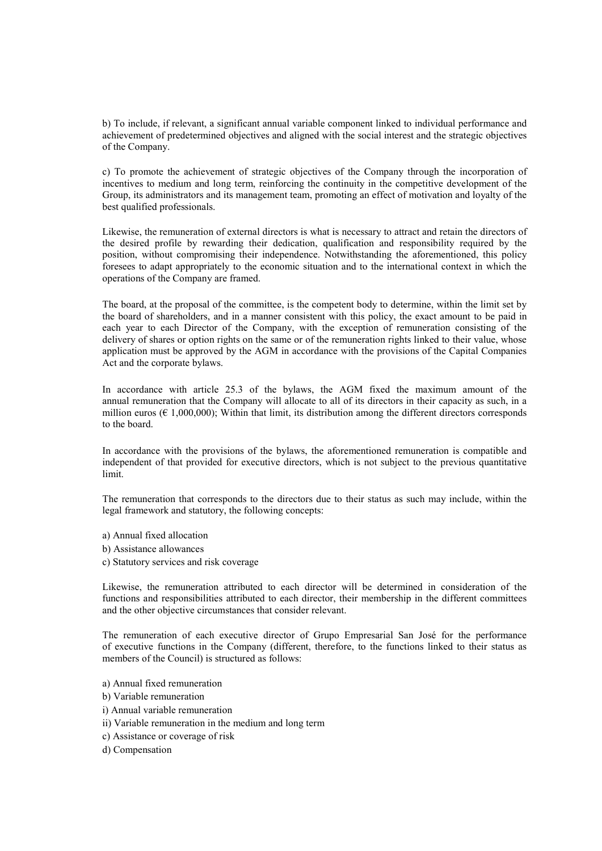b) To include, if relevant, a significant annual variable component linked to individual performance and achievement of predetermined objectives and aligned with the social interest and the strategic objectives of the Company.

c) To promote the achievement of strategic objectives of the Company through the incorporation of incentives to medium and long term, reinforcing the continuity in the competitive development of the Group, its administrators and its management team, promoting an effect of motivation and loyalty of the best qualified professionals.

Likewise, the remuneration of external directors is what is necessary to attract and retain the directors of the desired profile by rewarding their dedication, qualification and responsibility required by the position, without compromising their independence. Notwithstanding the aforementioned, this policy foresees to adapt appropriately to the economic situation and to the international context in which the operations of the Company are framed.

The board, at the proposal of the committee, is the competent body to determine, within the limit set by the board of shareholders, and in a manner consistent with this policy, the exact amount to be paid in each year to each Director of the Company, with the exception of remuneration consisting of the delivery of shares or option rights on the same or of the remuneration rights linked to their value, whose application must be approved by the AGM in accordance with the provisions of the Capital Companies Act and the corporate bylaws.

In accordance with article 25.3 of the bylaws, the AGM fixed the maximum amount of the annual remuneration that the Company will allocate to all of its directors in their capacity as such, in a million euros ( $\epsilon$  1,000,000); Within that limit, its distribution among the different directors corresponds to the board.

In accordance with the provisions of the bylaws, the aforementioned remuneration is compatible and independent of that provided for executive directors, which is not subject to the previous quantitative limit.

The remuneration that corresponds to the directors due to their status as such may include, within the legal framework and statutory, the following concepts:

- a) Annual fixed allocation
- b) Assistance allowances
- c) Statutory services and risk coverage

Likewise, the remuneration attributed to each director will be determined in consideration of the functions and responsibilities attributed to each director, their membership in the different committees and the other objective circumstances that consider relevant.

The remuneration of each executive director of Grupo Empresarial San José for the performance of executive functions in the Company (different, therefore, to the functions linked to their status as members of the Council) is structured as follows:

- a) Annual fixed remuneration
- b) Variable remuneration
- i) Annual variable remuneration
- ii) Variable remuneration in the medium and long term
- c) Assistance or coverage of risk
- d) Compensation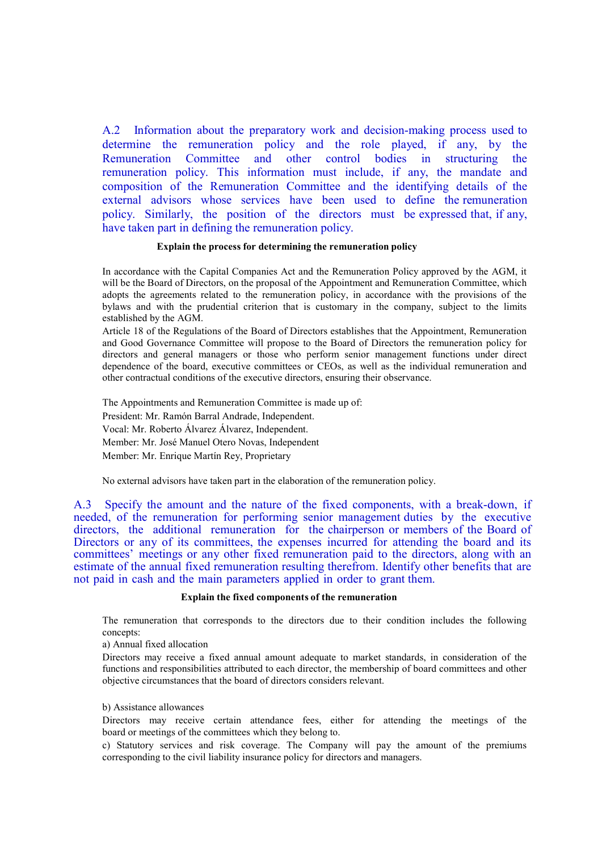A.2 Information about the preparatory work and decision-making process used to determine the remuneration policy and the role played, if any, by the Remuneration Committee and other control bodies in structuring the remuneration policy. This information must include, if any, the mandate and composition of the Remuneration Committee and the identifying details of the external advisors whose services have been used to define the remuneration policy. Similarly, the position of the directors must be expressed that, if any, have taken part in defining the remuneration policy.

#### Explain the process for determining the remuneration policy

In accordance with the Capital Companies Act and the Remuneration Policy approved by the AGM, it will be the Board of Directors, on the proposal of the Appointment and Remuneration Committee, which adopts the agreements related to the remuneration policy, in accordance with the provisions of the bylaws and with the prudential criterion that is customary in the company, subject to the limits established by the AGM.

Article 18 of the Regulations of the Board of Directors establishes that the Appointment, Remuneration and Good Governance Committee will propose to the Board of Directors the remuneration policy for directors and general managers or those who perform senior management functions under direct dependence of the board, executive committees or CEOs, as well as the individual remuneration and other contractual conditions of the executive directors, ensuring their observance.

The Appointments and Remuneration Committee is made up of: President: Mr. Ramón Barral Andrade, Independent. Vocal: Mr. Roberto Álvarez Álvarez, Independent. Member: Mr. José Manuel Otero Novas, Independent Member: Mr. Enrique Martín Rey, Proprietary

No external advisors have taken part in the elaboration of the remuneration policy.

A.3 Specify the amount and the nature of the fixed components, with a break-down, if needed, of the remuneration for performing senior management duties by the executive directors, the additional remuneration for the chairperson or members of the Board of Directors or any of its committees, the expenses incurred for attending the board and its committees' meetings or any other fixed remuneration paid to the directors, along with an estimate of the annual fixed remuneration resulting therefrom. Identify other benefits that are not paid in cash and the main parameters applied in order to grant them.

#### Explain the fixed components of the remuneration

The remuneration that corresponds to the directors due to their condition includes the following concepts:

a) Annual fixed allocation

Directors may receive a fixed annual amount adequate to market standards, in consideration of the functions and responsibilities attributed to each director, the membership of board committees and other objective circumstances that the board of directors considers relevant.

#### b) Assistance allowances

Directors may receive certain attendance fees, either for attending the meetings of the board or meetings of the committees which they belong to.

c) Statutory services and risk coverage. The Company will pay the amount of the premiums corresponding to the civil liability insurance policy for directors and managers.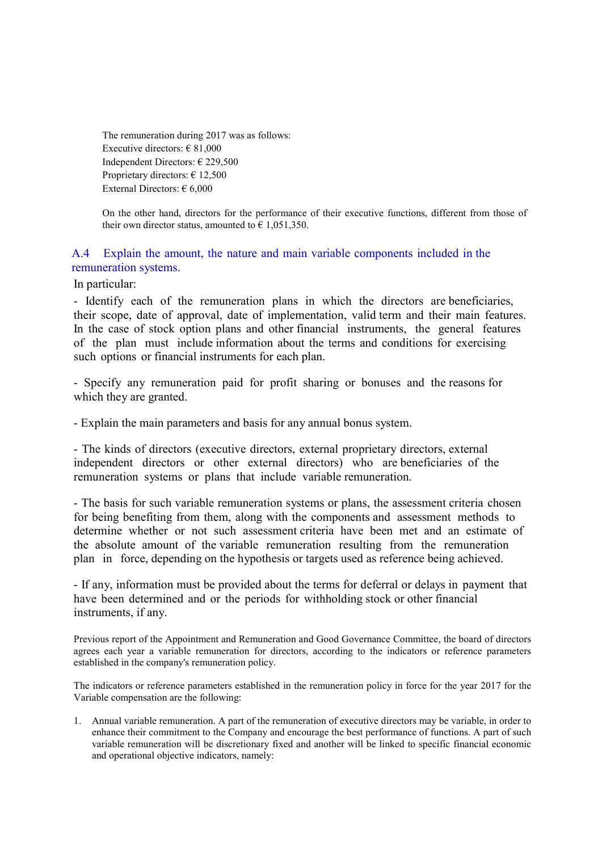The remuneration during 2017 was as follows: Executive directors:  $\in$  81,000 Independent Directors: € 229,500 Proprietary directors: € 12,500 External Directors: € 6,000

On the other hand, directors for the performance of their executive functions, different from those of their own director status, amounted to  $\epsilon$  1,051,350.

# A.4 Explain the amount, the nature and main variable components included in the remuneration systems.

In particular:

- Identify each of the remuneration plans in which the directors are beneficiaries, their scope, date of approval, date of implementation, valid term and their main features. In the case of stock option plans and other financial instruments, the general features of the plan must include information about the terms and conditions for exercising such options or financial instruments for each plan.

- Specify any remuneration paid for profit sharing or bonuses and the reasons for which they are granted.

- Explain the main parameters and basis for any annual bonus system.

- The kinds of directors (executive directors, external proprietary directors, external independent directors or other external directors) who are beneficiaries of the remuneration systems or plans that include variable remuneration.

- The basis for such variable remuneration systems or plans, the assessment criteria chosen for being benefiting from them, along with the components and assessment methods to determine whether or not such assessment criteria have been met and an estimate of the absolute amount of the variable remuneration resulting from the remuneration plan in force, depending on the hypothesis or targets used as reference being achieved.

- If any, information must be provided about the terms for deferral or delays in payment that have been determined and or the periods for withholding stock or other financial instruments, if any.

Previous report of the Appointment and Remuneration and Good Governance Committee, the board of directors agrees each year a variable remuneration for directors, according to the indicators or reference parameters established in the company's remuneration policy.

The indicators or reference parameters established in the remuneration policy in force for the year 2017 for the Variable compensation are the following:

1. Annual variable remuneration. A part of the remuneration of executive directors may be variable, in order to enhance their commitment to the Company and encourage the best performance of functions. A part of such variable remuneration will be discretionary fixed and another will be linked to specific financial economic and operational objective indicators, namely: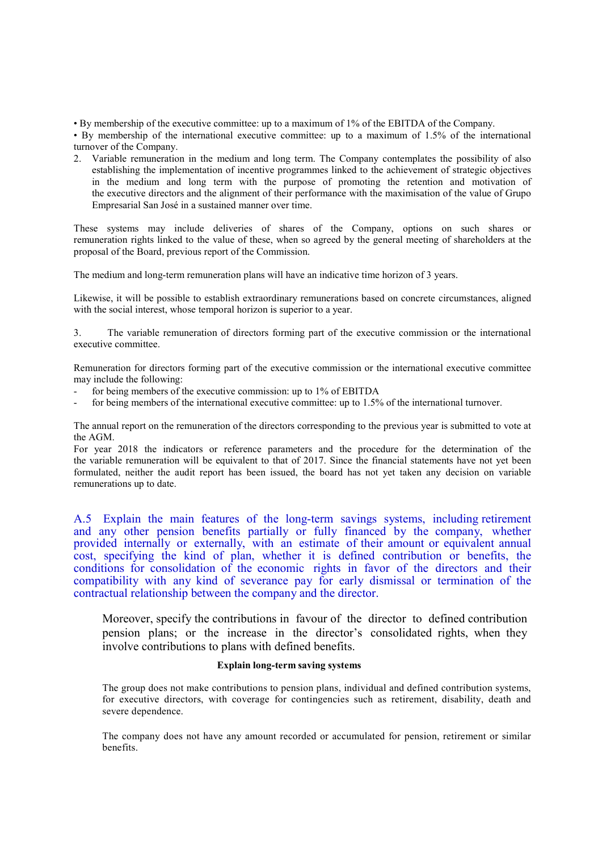• By membership of the executive committee: up to a maximum of 1% of the EBITDA of the Company.

• By membership of the international executive committee: up to a maximum of 1.5% of the international turnover of the Company.

2. Variable remuneration in the medium and long term. The Company contemplates the possibility of also establishing the implementation of incentive programmes linked to the achievement of strategic objectives in the medium and long term with the purpose of promoting the retention and motivation of the executive directors and the alignment of their performance with the maximisation of the value of Grupo Empresarial San José in a sustained manner over time.

These systems may include deliveries of shares of the Company, options on such shares or remuneration rights linked to the value of these, when so agreed by the general meeting of shareholders at the proposal of the Board, previous report of the Commission.

The medium and long-term remuneration plans will have an indicative time horizon of 3 years.

Likewise, it will be possible to establish extraordinary remunerations based on concrete circumstances, aligned with the social interest, whose temporal horizon is superior to a year.

3. The variable remuneration of directors forming part of the executive commission or the international executive committee.

Remuneration for directors forming part of the executive commission or the international executive committee may include the following:

- for being members of the executive commission: up to 1% of EBITDA
- for being members of the international executive committee: up to 1.5% of the international turnover.

The annual report on the remuneration of the directors corresponding to the previous year is submitted to vote at the AGM.

For year 2018 the indicators or reference parameters and the procedure for the determination of the the variable remuneration will be equivalent to that of 2017. Since the financial statements have not yet been formulated, neither the audit report has been issued, the board has not yet taken any decision on variable remunerations up to date.

A.5 Explain the main features of the long-term savings systems, including retirement and any other pension benefits partially or fully financed by the company, whether provided internally or externally, with an estimate of their amount or equivalent annual cost, specifying the kind of plan, whether it is defined contribution or benefits, the conditions for consolidation of the economic rights in favor of the directors and their compatibility with any kind of severance pay for early dismissal or termination of the contractual relationship between the company and the director.

Moreover, specify the contributions in favour of the director to defined contribution pension plans; or the increase in the director's consolidated rights, when they involve contributions to plans with defined benefits.

## Explain long-term saving systems

The group does not make contributions to pension plans, individual and defined contribution systems, for executive directors, with coverage for contingencies such as retirement, disability, death and severe dependence.

The company does not have any amount recorded or accumulated for pension, retirement or similar benefits.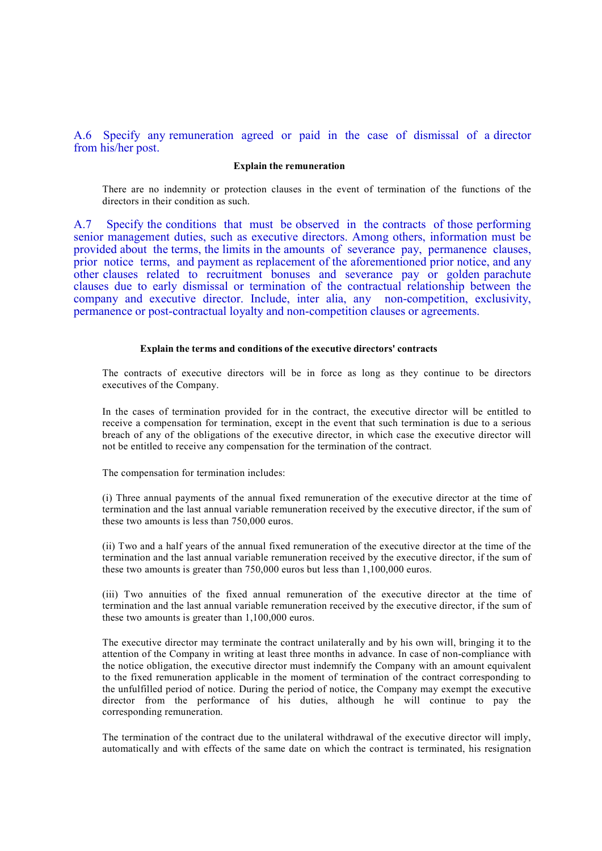## A.6 Specify any remuneration agreed or paid in the case of dismissal of a director from his/her post.

#### Explain the remuneration

There are no indemnity or protection clauses in the event of termination of the functions of the directors in their condition as such.

A.7 Specify the conditions that must be observed in the contracts of those performing senior management duties, such as executive directors. Among others, information must be provided about the terms, the limits in the amounts of severance pay, permanence clauses, prior notice terms, and payment as replacement of the aforementioned prior notice, and any other clauses related to recruitment bonuses and severance pay or golden parachute clauses due to early dismissal or termination of the contractual relationship between the company and executive director. Include, inter alia, any non-competition, exclusivity, permanence or post-contractual loyalty and non-competition clauses or agreements.

#### Explain the terms and conditions of the executive directors' contracts

The contracts of executive directors will be in force as long as they continue to be directors executives of the Company.

In the cases of termination provided for in the contract, the executive director will be entitled to receive a compensation for termination, except in the event that such termination is due to a serious breach of any of the obligations of the executive director, in which case the executive director will not be entitled to receive any compensation for the termination of the contract.

The compensation for termination includes:

(i) Three annual payments of the annual fixed remuneration of the executive director at the time of termination and the last annual variable remuneration received by the executive director, if the sum of these two amounts is less than 750,000 euros.

(ii) Two and a half years of the annual fixed remuneration of the executive director at the time of the termination and the last annual variable remuneration received by the executive director, if the sum of these two amounts is greater than 750,000 euros but less than 1,100,000 euros.

(iii) Two annuities of the fixed annual remuneration of the executive director at the time of termination and the last annual variable remuneration received by the executive director, if the sum of these two amounts is greater than 1,100,000 euros.

The executive director may terminate the contract unilaterally and by his own will, bringing it to the attention of the Company in writing at least three months in advance. In case of non-compliance with the notice obligation, the executive director must indemnify the Company with an amount equivalent to the fixed remuneration applicable in the moment of termination of the contract corresponding to the unfulfilled period of notice. During the period of notice, the Company may exempt the executive director from the performance of his duties, although he will continue to pay the corresponding remuneration.

The termination of the contract due to the unilateral withdrawal of the executive director will imply, automatically and with effects of the same date on which the contract is terminated, his resignation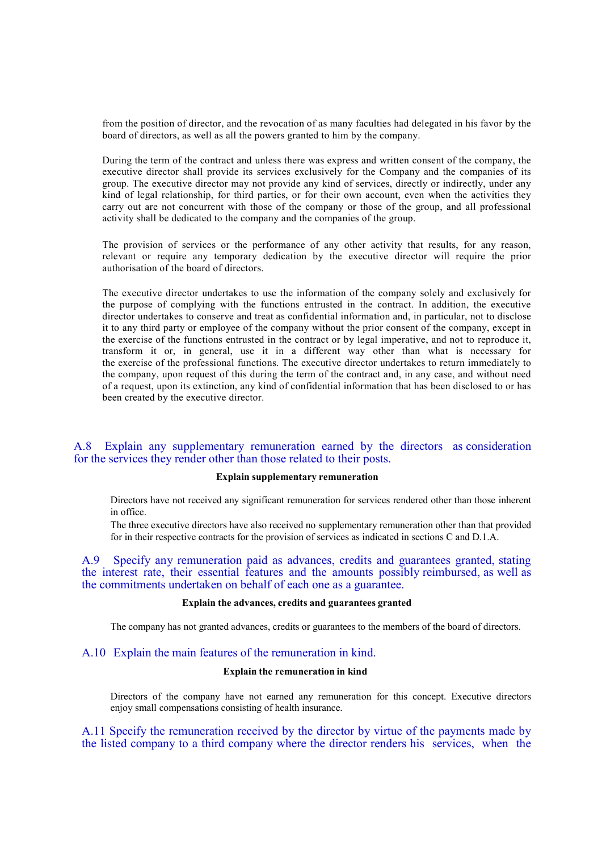from the position of director, and the revocation of as many faculties had delegated in his favor by the board of directors, as well as all the powers granted to him by the company.

During the term of the contract and unless there was express and written consent of the company, the executive director shall provide its services exclusively for the Company and the companies of its group. The executive director may not provide any kind of services, directly or indirectly, under any kind of legal relationship, for third parties, or for their own account, even when the activities they carry out are not concurrent with those of the company or those of the group, and all professional activity shall be dedicated to the company and the companies of the group.

The provision of services or the performance of any other activity that results, for any reason, relevant or require any temporary dedication by the executive director will require the prior authorisation of the board of directors.

The executive director undertakes to use the information of the company solely and exclusively for the purpose of complying with the functions entrusted in the contract. In addition, the executive director undertakes to conserve and treat as confidential information and, in particular, not to disclose it to any third party or employee of the company without the prior consent of the company, except in the exercise of the functions entrusted in the contract or by legal imperative, and not to reproduce it, transform it or, in general, use it in a different way other than what is necessary for the exercise of the professional functions. The executive director undertakes to return immediately to the company, upon request of this during the term of the contract and, in any case, and without need of a request, upon its extinction, any kind of confidential information that has been disclosed to or has been created by the executive director.

## A.8 Explain any supplementary remuneration earned by the directors as consideration for the services they render other than those related to their posts.

## Explain supplementary remuneration

Directors have not received any significant remuneration for services rendered other than those inherent in office.

The three executive directors have also received no supplementary remuneration other than that provided for in their respective contracts for the provision of services as indicated in sections C and D.1.A.

A.9 Specify any remuneration paid as advances, credits and guarantees granted, stating the interest rate, their essential features and the amounts possibly reimbursed, as well as the commitments undertaken on behalf of each one as a guarantee.

## Explain the advances, credits and guarantees granted

The company has not granted advances, credits or guarantees to the members of the board of directors.

## A.10 Explain the main features of the remuneration in kind.

#### Explain the remuneration in kind

Directors of the company have not earned any remuneration for this concept. Executive directors enjoy small compensations consisting of health insurance.

A.11 Specify the remuneration received by the director by virtue of the payments made by the listed company to a third company where the director renders his services, when the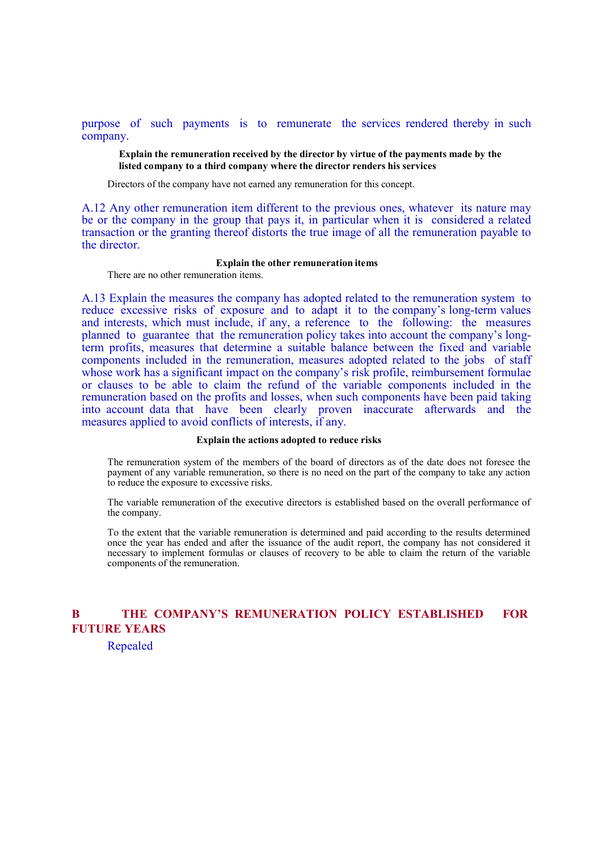purpose of such payments is to remunerate the services rendered thereby in such company.

Explain the remuneration received by the director by virtue of the payments made by the listed company to a third company where the director renders his services

Directors of the company have not earned any remuneration for this concept.

A.12 Any other remuneration item different to the previous ones, whatever its nature may be or the company in the group that pays it, in particular when it is considered a related transaction or the granting thereof distorts the true image of all the remuneration payable to the director.

#### Explain the other remuneration items

There are no other remuneration items.

A.13 Explain the measures the company has adopted related to the remuneration system to reduce excessive risks of exposure and to adapt it to the company's long-term values and interests, which must include, if any, a reference to the following: the measures planned to guarantee that the remuneration policy takes into account the company's longterm profits, measures that determine a suitable balance between the fixed and variable components included in the remuneration, measures adopted related to the jobs of staff whose work has a significant impact on the company's risk profile, reimbursement formulae or clauses to be able to claim the refund of the variable components included in the remuneration based on the profits and losses, when such components have been paid taking into account data that have been clearly proven inaccurate afterwards and the measures applied to avoid conflicts of interests, if any.

#### Explain the actions adopted to reduce risks

The remuneration system of the members of the board of directors as of the date does not foresee the payment of any variable remuneration, so there is no need on the part of the company to take any action to reduce the exposure to excessive risks.

The variable remuneration of the executive directors is established based on the overall performance of the company.

To the extent that the variable remuneration is determined and paid according to the results determined once the year has ended and after the issuance of the audit report, the company has not considered it necessary to implement formulas or clauses of recovery to be able to claim the return of the variable components of the remuneration.

# B THE COMPANY'S REMUNERATION POLICY ESTABLISHED FOR FUTURE YEARS

Repealed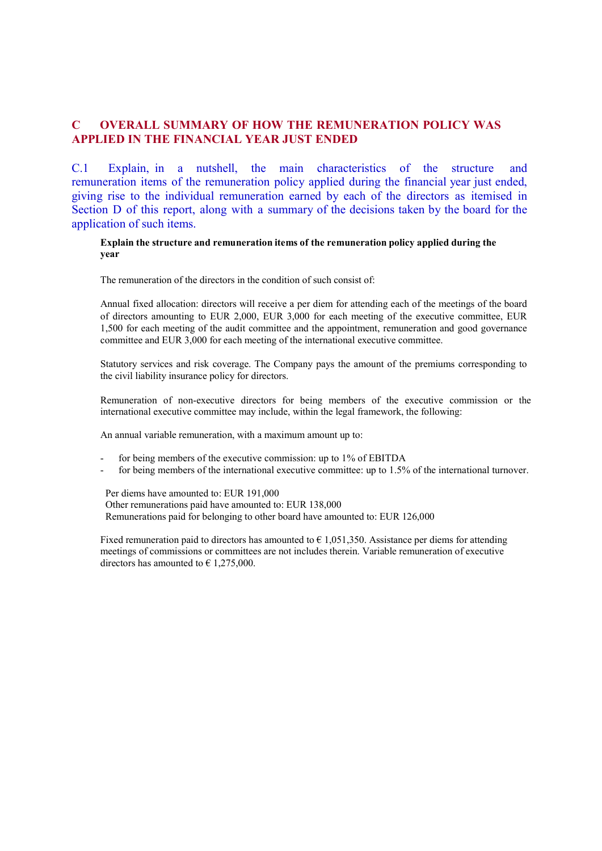# C OVERALL SUMMARY OF HOW THE REMUNERATION POLICY WAS APPLIED IN THE FINANCIAL YEAR JUST ENDED

C.1 Explain, in a nutshell, the main characteristics of the structure and remuneration items of the remuneration policy applied during the financial year just ended, giving rise to the individual remuneration earned by each of the directors as itemised in Section D of this report, along with a summary of the decisions taken by the board for the application of such items.

## Explain the structure and remuneration items of the remuneration policy applied during the year

The remuneration of the directors in the condition of such consist of:

Annual fixed allocation: directors will receive a per diem for attending each of the meetings of the board of directors amounting to EUR 2,000, EUR 3,000 for each meeting of the executive committee, EUR 1,500 for each meeting of the audit committee and the appointment, remuneration and good governance committee and EUR 3,000 for each meeting of the international executive committee.

Statutory services and risk coverage. The Company pays the amount of the premiums corresponding to the civil liability insurance policy for directors.

Remuneration of non-executive directors for being members of the executive commission or the international executive committee may include, within the legal framework, the following:

An annual variable remuneration, with a maximum amount up to:

- for being members of the executive commission: up to 1% of EBITDA
- for being members of the international executive committee: up to 1.5% of the international turnover.

Per diems have amounted to: EUR 191,000 Other remunerations paid have amounted to: EUR 138,000 Remunerations paid for belonging to other board have amounted to: EUR 126,000

Fixed remuneration paid to directors has amounted to  $\epsilon$  1,051,350. Assistance per diems for attending meetings of commissions or committees are not includes therein. Variable remuneration of executive directors has amounted to  $\epsilon$  1.275,000.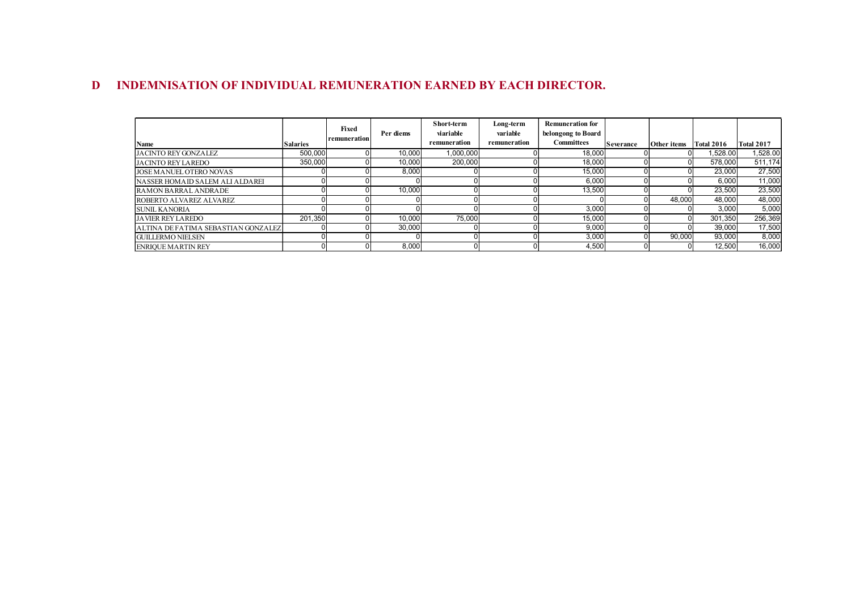# D INDEMNISATION OF INDIVIDUAL REMUNERATION EARNED BY EACH DIRECTOR.

| DEMNISATION OF INDIVIDUAL REMUNERATION EARNED BY EACH DIRECTOR. |                 |              |           |              |              |                         |           |                        |          |                   |
|-----------------------------------------------------------------|-----------------|--------------|-----------|--------------|--------------|-------------------------|-----------|------------------------|----------|-------------------|
|                                                                 |                 |              |           |              |              |                         |           |                        |          |                   |
|                                                                 |                 |              |           |              |              |                         |           |                        |          |                   |
|                                                                 |                 |              |           |              |              |                         |           |                        |          |                   |
|                                                                 |                 |              |           | Short-term   | Long-term    | <b>Remuneration for</b> |           |                        |          |                   |
|                                                                 |                 |              |           |              | variable     | belongong to Board      |           |                        |          |                   |
|                                                                 |                 | Fixed        | Per diems | viariable    |              |                         |           |                        |          |                   |
|                                                                 | <b>Salaries</b> | remuneration |           | remuneration | remuneration | <b>Committees</b>       | Severance | Other items Total 2016 |          | <b>Total 2017</b> |
|                                                                 | 500,000         |              | 10,000    | 1,000,000    |              | 18,000                  |           |                        | 1,528.00 | 1,528.00          |
| Name<br>JACINTO REY GONZALEZ<br>JACINTO REY LAREDO              | 350,000         |              | 10,000    | 200,000      |              | 18,000                  |           |                        | 578,000  | 511,174           |
| JOSE MANUEL OTERO NOVAS                                         |                 | $\Omega$     | 8,000     |              |              | 15,000                  |           |                        | 23,000   | 27,500            |
| NASSER HOMAID SALEM ALI ALDAREI                                 |                 | $\Omega$     | $\Omega$  | $\Omega$     |              | 6,000                   |           |                        | 6,000    | 11,000            |
| RAMON BARRAL ANDRADE                                            |                 | $\Omega$     | 10,000    | $\Omega$     |              | 13,500                  |           |                        | 23,500   | 23,500            |
| ROBERTO ALVAREZ ALVAREZ                                         |                 |              |           | O            |              |                         |           | 48,000                 | 48,000   | 48,000            |
| <b>SUNIL KANORIA</b>                                            |                 | $\cap$       | $\Omega$  |              |              | 3,000                   |           |                        | 3,000    | 5,000             |
| <b>JAVIER REY LAREDO</b>                                        | 201,350         | $\Omega$     | 10,000    | 75,000       |              | 15,000                  |           |                        | 301,350  | 256,369           |
| ALTINA DE FATIMA SEBASTIAN GONZALEZ                             |                 | $\Omega$     | 30,000    |              |              | 9,000                   |           |                        | 39,000   | 17,500            |
| <b>GUILLERMO NIELSEN</b><br><b>ENRIQUE MARTIN REY</b>           |                 | $\Omega$     |           | $\Omega$     |              | 3,000                   |           | 90,000                 | 93,000   | 8,000             |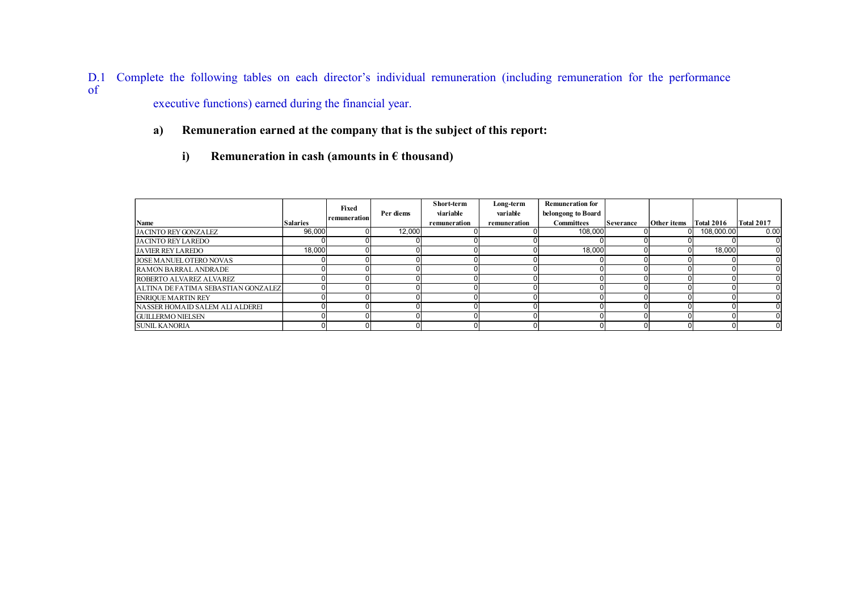D.1 Complete the following tables on each director's individual remuneration (including remuneration for the performance of executive functions) earned during the financial year.

- a) Remuneration earned at the company that is the subject of this report:
	- i) Remuneration in cash (amounts in  $\epsilon$  thousand)

| mplete the following tables on each director's individual remuneration (including remuneration for the performance |                 |              |           |              |              |                         |                  |             |                   |                   |
|--------------------------------------------------------------------------------------------------------------------|-----------------|--------------|-----------|--------------|--------------|-------------------------|------------------|-------------|-------------------|-------------------|
| executive functions) earned during the financial year.                                                             |                 |              |           |              |              |                         |                  |             |                   |                   |
|                                                                                                                    |                 |              |           |              |              |                         |                  |             |                   |                   |
| Remuneration earned at the company that is the subject of this report:<br>a)                                       |                 |              |           |              |              |                         |                  |             |                   |                   |
|                                                                                                                    |                 |              |           |              |              |                         |                  |             |                   |                   |
|                                                                                                                    |                 |              |           |              |              |                         |                  |             |                   |                   |
| Remuneration in cash (amounts in $\epsilon$ thousand)<br>i)                                                        |                 |              |           |              |              |                         |                  |             |                   |                   |
|                                                                                                                    |                 |              |           |              |              |                         |                  |             |                   |                   |
|                                                                                                                    |                 |              |           |              |              |                         |                  |             |                   |                   |
|                                                                                                                    |                 |              |           |              |              |                         |                  |             |                   |                   |
|                                                                                                                    |                 |              |           |              |              |                         |                  |             |                   |                   |
|                                                                                                                    |                 |              |           | Short-term   | Long-term    | <b>Remuneration for</b> |                  |             |                   |                   |
|                                                                                                                    |                 | Fixed        | Per diems | viariable    | variable     | belongong to Board      |                  |             |                   |                   |
|                                                                                                                    | <b>Salaries</b> | remuneration |           | remuneration | remuneration | <b>Committees</b>       | <b>Severance</b> | Other items | <b>Total 2016</b> | <b>Total 2017</b> |
|                                                                                                                    | 96,000          |              | 12,000    |              |              | 108,000                 |                  |             | 108,000.00        | 0.00              |
| Name<br><b>JACINTO REY GONZALEZ</b><br><b>JACINTO REY LAREDO</b>                                                   |                 |              |           |              |              |                         |                  |             |                   |                   |
| <b>JAVIER REY LAREDO</b>                                                                                           | 18,000          |              |           |              |              | 18,000                  |                  |             | 18,000            |                   |
| JOSE MANUEL OTERO NOVAS                                                                                            |                 |              |           |              |              |                         |                  |             |                   |                   |
| RAMON BARRAL ANDRADE                                                                                               | $\Omega$        |              |           |              |              |                         |                  |             |                   |                   |
| ROBERTO ALVAREZ ALVAREZ                                                                                            |                 |              |           |              |              |                         |                  |             |                   |                   |
| ALTINA DE FATIMA SEBASTIAN GONZALEZ                                                                                |                 |              |           |              |              |                         |                  |             | $\Omega$          |                   |
| <b>ENRIQUE MARTIN REY</b>                                                                                          |                 |              |           |              |              |                         |                  |             |                   |                   |
| NASSER HOMAID SALEM ALI ALDEREI                                                                                    |                 |              |           |              |              |                         |                  |             | <sup>0</sup>      |                   |
| <b>GUILLERMO NIELSEN</b><br><b>SUNIL KANORIA</b>                                                                   |                 |              |           | $\Omega$     |              |                         |                  |             |                   |                   |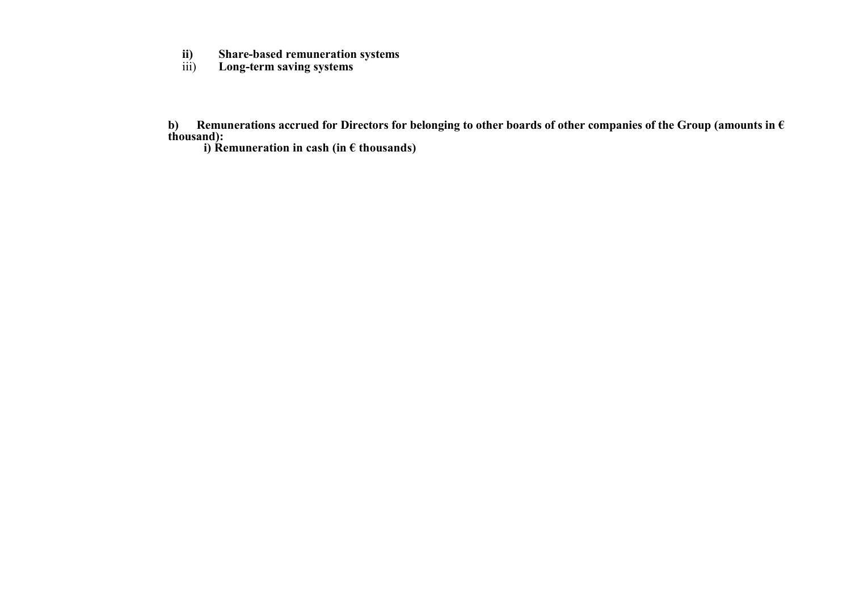- ii) Share-based remuneration systems<br>iii) Long-term saving systems
- Long-term saving systems

b) Remunerations accrued for Directors for belonging to other boards of other companies of the Group (amounts in  $\epsilon$ thousand):

i) Remuneration in cash (in  $\epsilon$  thousands)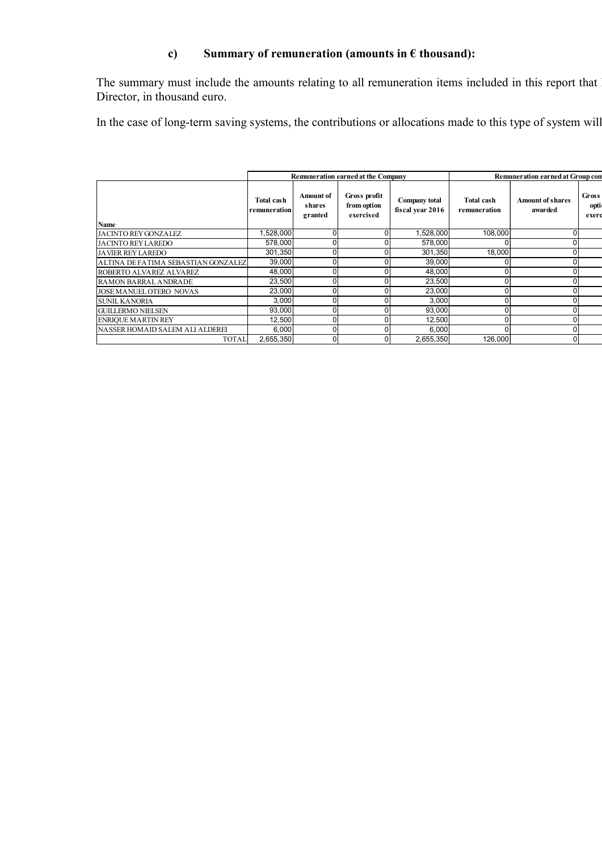# c) Summary of remuneration (amounts in  $\epsilon$  thousand):

| c)                                                                                                                                  |                            |                                       |                                          | Summary of remuneration (amounts in $\epsilon$ thousand): |                                   |                                    |                        |
|-------------------------------------------------------------------------------------------------------------------------------------|----------------------------|---------------------------------------|------------------------------------------|-----------------------------------------------------------|-----------------------------------|------------------------------------|------------------------|
| The summary must include the amounts relating to all remuneration items included in this report that<br>Director, in thousand euro. |                            |                                       |                                          |                                                           |                                   |                                    |                        |
| In the case of long-term saving systems, the contributions or allocations made to this type of system will                          |                            |                                       |                                          |                                                           |                                   |                                    |                        |
|                                                                                                                                     |                            |                                       |                                          | Remuneration earned at Group con                          |                                   |                                    |                        |
|                                                                                                                                     |                            |                                       | Remuneration earned at the Company       |                                                           |                                   |                                    |                        |
|                                                                                                                                     | Total cash<br>remuneration | <b>Amount of</b><br>shares<br>granted | Gross profit<br>from option<br>exercised | <b>Company</b> total<br>fiscal year 2016                  | <b>Total cash</b><br>remuneration | <b>Amount of shares</b><br>awarded | Gross<br>opti<br>exerc |
| Name                                                                                                                                |                            |                                       |                                          |                                                           |                                   |                                    |                        |
| JACINTO REY GONZALEZ                                                                                                                | 1,528,000                  | $\mathbf 0$                           | 0                                        | 1,528,000                                                 | 108,000                           |                                    | $\Omega$               |
| JACINTO REY LAREDO                                                                                                                  | 578,000                    | $\overline{0}$                        | $\Omega$                                 | 578,000                                                   |                                   | $\Omega$                           |                        |
| <b>JAVIER REY LAREDO</b>                                                                                                            | 301,350                    | $\mathbf{0}$                          | U                                        | 301,350                                                   | 18,000                            | $\Omega$                           |                        |
| ALTINA DE FATIMA SEBASTIAN GONZALEZ                                                                                                 | 39,000                     | $\mathbf 0$                           | 0                                        | 39,000                                                    | 0                                 |                                    | $\overline{0}$         |
|                                                                                                                                     | 48,000                     | o                                     | U                                        | 48,000                                                    | $\mathbf 0$                       | $\Omega$                           |                        |
| ROBERTO ALVAREZ ALVAREZ<br>RAMON BARRAL ANDRADE                                                                                     | 23,500                     | $\mathbf{0}$                          | <sup>0</sup>                             | 23,500                                                    | $\mathbf{0}$                      | $\Omega$                           |                        |
| JOSE MANUEL OTERO NOVAS                                                                                                             | 23,000                     | $\mathbf 0$                           |                                          | 23,000                                                    | $\mathbf 0$                       | $\Omega$                           |                        |
|                                                                                                                                     | 3,000                      | $\overline{0}$                        | 0                                        | 3,000                                                     | $\mathbf 0$                       |                                    | $\Omega$               |
| SUNIL KANORIA<br>GUILLERMO NIELSEN                                                                                                  | 93,000                     | ō                                     | $\Omega$                                 | 93,000                                                    | $\mathbf 0$                       | $\Omega$                           |                        |
| ENRIQUE MARTIN REY<br>NASSER HOMAID SALEM ALI ALDEREI                                                                               | 12,500<br>6,000            | $\mathbf 0$<br>$\overline{0}$         | $\Omega$<br>$\Omega$                     | 12,500<br>6,000                                           | $\mathbf{0}$<br>$\Omega$          | $\Omega$                           | $\overline{0}$         |
|                                                                                                                                     |                            |                                       |                                          |                                                           |                                   |                                    |                        |